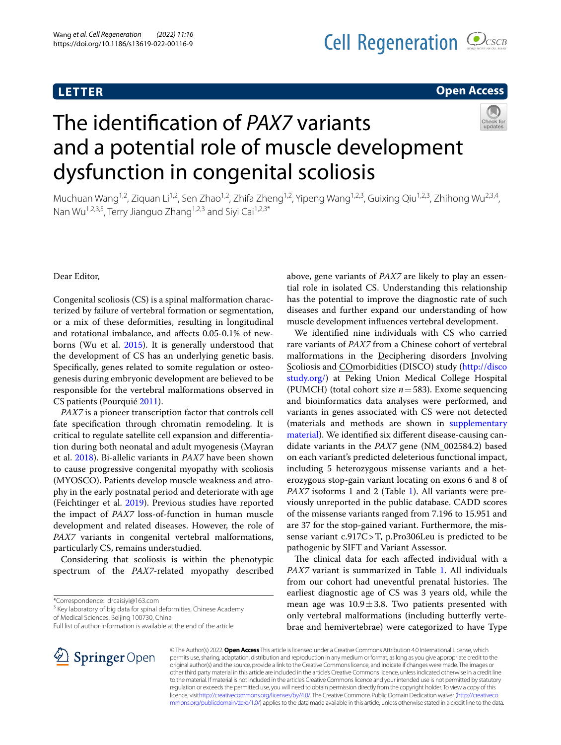# **LETTER**

# **Open Access**

# The identifcation of *PAX7* variants and a potential role of muscle development dysfunction in congenital scoliosis



Nan Wu<sup>1,2,3,5</sup>, Terry Jianguo Zhang<sup>1,2,3</sup> and Siyi Cai<sup>1,2,3\*</sup>

Muchuan Wang<sup>1,2</sup>, Ziquan Li<sup>1,2</sup>, Sen Zhao<sup>1,2</sup>, Zhifa Zheng<sup>1,2</sup>, Yipeng Wang<sup>1,2,3</sup>, Guixing Qiu<sup>1,2,3</sup>, Zhihong Wu<sup>2,3,4</sup>,

Dear Editor,

Congenital scoliosis (CS) is a spinal malformation characterized by failure of vertebral formation or segmentation, or a mix of these deformities, resulting in longitudinal and rotational imbalance, and afects 0.05-0.1% of newborns (Wu et al. [2015\)](#page-3-0). It is generally understood that the development of CS has an underlying genetic basis. Specifcally, genes related to somite regulation or osteogenesis during embryonic development are believed to be responsible for the vertebral malformations observed in CS patients (Pourquié [2011\)](#page-3-1).

*PAX7* is a pioneer transcription factor that controls cell fate specifcation through chromatin remodeling. It is critical to regulate satellite cell expansion and diferentiation during both neonatal and adult myogenesis (Mayran et al. [2018](#page-3-2)). Bi-allelic variants in *PAX7* have been shown to cause progressive congenital myopathy with scoliosis (MYOSCO). Patients develop muscle weakness and atrophy in the early postnatal period and deteriorate with age (Feichtinger et al. [2019\)](#page-3-3). Previous studies have reported the impact of *PAX7* loss-of-function in human muscle development and related diseases. However, the role of *PAX7* variants in congenital vertebral malformations, particularly CS, remains understudied.

Considering that scoliosis is within the phenotypic spectrum of the *PAX7*-related myopathy described

\*Correspondence: drcaisiyi@163.com

<sup>3</sup> Key laboratory of big data for spinal deformities, Chinese Academy of Medical Sciences, Beijing 100730, China

above, gene variants of *PAX7* are likely to play an essential role in isolated CS. Understanding this relationship has the potential to improve the diagnostic rate of such diseases and further expand our understanding of how muscle development infuences vertebral development.

We identifed nine individuals with CS who carried rare variants of *PAX7* from a Chinese cohort of vertebral malformations in the Deciphering disorders Involving Scoliosis and COmorbidities (DISCO) study ([http://disco](http://discostudy.org/) [study.org/\)](http://discostudy.org/) at Peking Union Medical College Hospital (PUMCH) (total cohort size *n*=583). Exome sequencing and bioinformatics data analyses were performed, and variants in genes associated with CS were not detected (materials and methods are shown in [supplementary](#page-3-4)  [material](#page-3-4)). We identifed six diferent disease-causing candidate variants in the *PAX7* gene (NM\_002584.2) based on each variant's predicted deleterious functional impact, including 5 heterozygous missense variants and a heterozygous stop-gain variant locating on exons 6 and 8 of *PAX7* isoforms 1 and 2 (Table [1\)](#page-1-0). All variants were previously unreported in the public database. CADD scores of the missense variants ranged from 7.196 to 15.951 and are 37 for the stop-gained variant. Furthermore, the missense variant c.917C>T, p.Pro306Leu is predicted to be pathogenic by SIFT and Variant Assessor.

The clinical data for each affected individual with a *PAX7* variant is summarized in Table [1.](#page-1-0) All individuals from our cohort had uneventful prenatal histories. The earliest diagnostic age of CS was 3 years old, while the mean age was  $10.9 \pm 3.8$ . Two patients presented with only vertebral malformations (including butterfy vertebrae and hemivertebrae) were categorized to have Type



© The Author(s) 2022. **Open Access** This article is licensed under a Creative Commons Attribution 4.0 International License, which permits use, sharing, adaptation, distribution and reproduction in any medium or format, as long as you give appropriate credit to the original author(s) and the source, provide a link to the Creative Commons licence, and indicate if changes were made. The images or other third party material in this article are included in the article's Creative Commons licence, unless indicated otherwise in a credit line to the material. If material is not included in the article's Creative Commons licence and your intended use is not permitted by statutory regulation or exceeds the permitted use, you will need to obtain permission directly from the copyright holder. To view a copy of this licence, visi[thttp://creativecommons.org/licenses/by/4.0/](http://creativecommons.org/licenses/by/4.0/). The Creative Commons Public Domain Dedication waiver [\(http://creativeco](http://creativecommons.org/publicdomain/zero/1.0/) [mmons.org/publicdomain/zero/1.0/](http://creativecommons.org/publicdomain/zero/1.0/)) applies to the data made available in this article, unless otherwise stated in a credit line to the data.

Full list of author information is available at the end of the article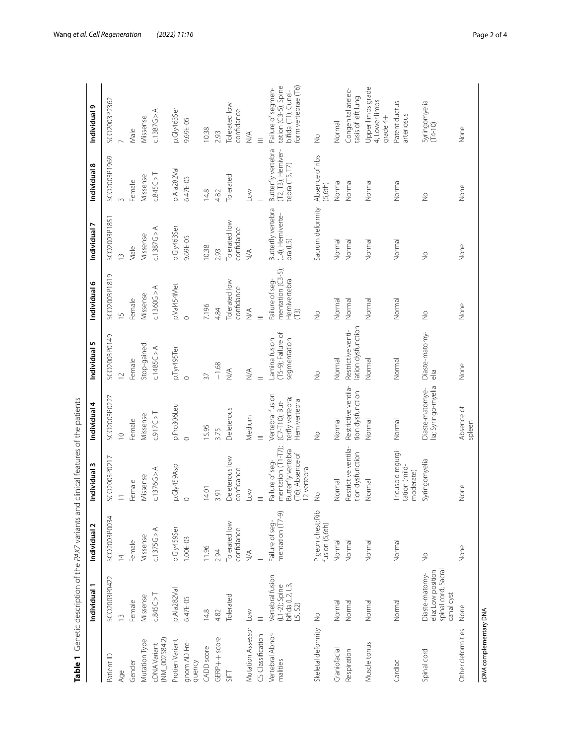|                                      | Individual 1                                                              | Individual 2                        | Individual 3                                                                                  | Individual 4                                                           | Individual 5                                        | Individual 6                                                 | Individual 7                                            | Individual 8                                                  | Individual 9                                                                             |
|--------------------------------------|---------------------------------------------------------------------------|-------------------------------------|-----------------------------------------------------------------------------------------------|------------------------------------------------------------------------|-----------------------------------------------------|--------------------------------------------------------------|---------------------------------------------------------|---------------------------------------------------------------|------------------------------------------------------------------------------------------|
| Patient ID                           | SCO2003P0422                                                              | SCO2003P0034                        | SCO2003P0217                                                                                  | SCO2003P0227                                                           | SCO2003P0149                                        | SCO2003P1819                                                 | SCO2003P1851                                            | SCO2003P1969                                                  | SCO2003P2362                                                                             |
| Age                                  | $\frac{1}{2}$                                                             | $\overline{4}$                      | $\overline{\phantom{0}}$                                                                      | $\supseteq$                                                            | $\overline{C}$                                      | $\frac{5}{1}$                                                | $\tilde{=}$                                             |                                                               |                                                                                          |
| Gender                               | Female                                                                    | Female                              | Female                                                                                        | Female                                                                 | Female                                              | Female                                                       | Male                                                    | Female                                                        | Male                                                                                     |
| Mutation Type                        | Missense                                                                  | Missense                            | Missense                                                                                      | Missense                                                               | Stop-gained                                         | Missense                                                     | Missense                                                | Missense                                                      | Missense                                                                                 |
| (NM_002584.2)<br><b>CDNA</b> Variant | C.845C > T                                                                | c.1375G > A                         | c.1376G > A                                                                                   | C.917C > T                                                             | c.1485C > A                                         | c.1360G > A                                                  | C.1387G > A                                             | C.845C > T                                                    | C.1387G > A                                                                              |
| Protien Variant                      | p.Ala282Val                                                               | p.Gly459Ser                         | p.Gly459Asp                                                                                   | p.Pro306Leu                                                            | p.Tyr495Ter                                         | p.Val454Met                                                  | p.Gly463Ser                                             | p.Ala282Val                                                   | p.Gly463Ser                                                                              |
| gnom AD Fre-<br>quency               | 6.47E-05                                                                  | 1.00E-03                            | $\circ$                                                                                       | $\circ$                                                                | $\circ$                                             | $\circ$                                                      | 9.69E-05                                                | 6.47E-05                                                      | 9.69E-05                                                                                 |
| CADD score                           | 14.8                                                                      | 11.96                               | 14.01                                                                                         | 15.95                                                                  | 37                                                  | 7.196                                                        | 10.38                                                   | 14.8                                                          | 10.38                                                                                    |
| GERP++ score                         | 4.82                                                                      | 2.94                                | 3.91                                                                                          | 3.75                                                                   | $-1.68$                                             | 4.84                                                         | 2.93                                                    | 4.82                                                          | 2.93                                                                                     |
| SIFT                                 | Tolerated                                                                 | Tolerated low<br>confidance         | Deleterous low<br>confidance                                                                  | Deleterous                                                             | $\lessgtr$                                          | Tolerated low<br>confidance                                  | Tolerated low<br>confidance                             | Tolerated                                                     | Tolerated low<br>confidance                                                              |
| Mutation Assessor                    | Low                                                                       | $\stackrel{\triangle}{\geq}$        | $\leq$                                                                                        | Medium                                                                 | $\lessgtr$                                          | $\lessgtr$                                                   | $\leq$                                                  | $\leq$                                                        | $\lessgtr$                                                                               |
| CS Classification                    |                                                                           |                                     | $\equiv$                                                                                      | $\equiv$                                                               |                                                     | $\equiv$                                                     |                                                         |                                                               | $\equiv$                                                                                 |
| Vertebral Abnor-<br>malities         | Vertebral fusion<br>$(L1-2)$ ; Spine<br>bifida $(L2, L3)$ ,<br>L5, S2)    | mentation (T7-9)<br>Failure of seg- | mentation (T1-T7);<br>Butterfly vertebra<br>T6); Absence of<br>Failure of seq-<br>[2 vertebra | Vertebral fusion<br>terfly vertebra;<br>(C7-T10); But-<br>Hemivertebra | (T5-9); Failure of<br>Lamina fusion<br>segmentation | mentation (C3-5);<br>Failure of seq-<br>Hemivertebra<br>(13) | Butterfly vertebra<br>$(L4)$ ; Hemiverte-<br>bra $(L5)$ | Butterfly vertebra<br>$(T2, T3)$ ; Hemiver-<br>tebra (T5, T7) | tation (C3-5); Spine<br>form vertebrae (T6)<br>Failure of segmen-<br>bifida (T1); Cunei- |
| Skeletal deformity                   | $\frac{1}{2}$                                                             | Pigeon chest; Rib<br>fusion (5,6th) | $\frac{1}{2}$                                                                                 | $\frac{1}{2}$                                                          | $\frac{1}{2}$                                       | $\frac{1}{2}$                                                | Sacrum deformity                                        | Absence of ribs<br>(5,6th)                                    | $\frac{1}{2}$                                                                            |
| Craniofacial                         | Normal                                                                    | Normal                              | Normal                                                                                        | Normal                                                                 | Normal                                              | Normal                                                       | Normal                                                  | Normal                                                        | Normal                                                                                   |
| Respiration                          | Normal                                                                    | Normal                              | Restrictive ventila-<br>tion dysfunction                                                      | Restrictive ventila-<br>tion dysfunction                               | lation dysfunction<br>Restrictive venti-            | Normal                                                       | Normal                                                  | Normal                                                        | Congenital atelec-<br>tasis of left lung                                                 |
| Muscle tonus                         | Normal                                                                    | Normal                              | Normal                                                                                        | Normal                                                                 | Normal                                              | Normal                                                       | Normal                                                  | Normal                                                        | Upper limbs grade<br>4; Lower limbs<br>grade 4+                                          |
| Cardiac                              | Normal                                                                    | Normal                              | Tricuspid regurgi-<br>tation (mild-<br>moderate)                                              | Normal                                                                 | Normal                                              | Normal                                                       | Normal                                                  | Normal                                                        | Patent ductus<br>arteriosus                                                              |
| Spinal cord                          | spinal cord; Sacral<br>elia; Low position<br>Diaste-matomy-<br>canal cyst | $\frac{1}{2}$                       | Syringomyelia                                                                                 | lia; Syringo-myelia<br>Diaste-matomye-                                 | Diaste-matomy-<br>$\frac{1}{\sqrt{2}}$              | $\frac{1}{2}$                                                | $\geq$                                                  | $\frac{1}{2}$                                                 | Syringomyelia<br>(T4-10)                                                                 |
| Other deformities                    | None                                                                      | None                                | None                                                                                          | Absence of<br>spleen                                                   | None                                                | None                                                         | None                                                    | None                                                          | None                                                                                     |
| cDNA complementary DNA               |                                                                           |                                     |                                                                                               |                                                                        |                                                     |                                                              |                                                         |                                                               |                                                                                          |

<span id="page-1-0"></span>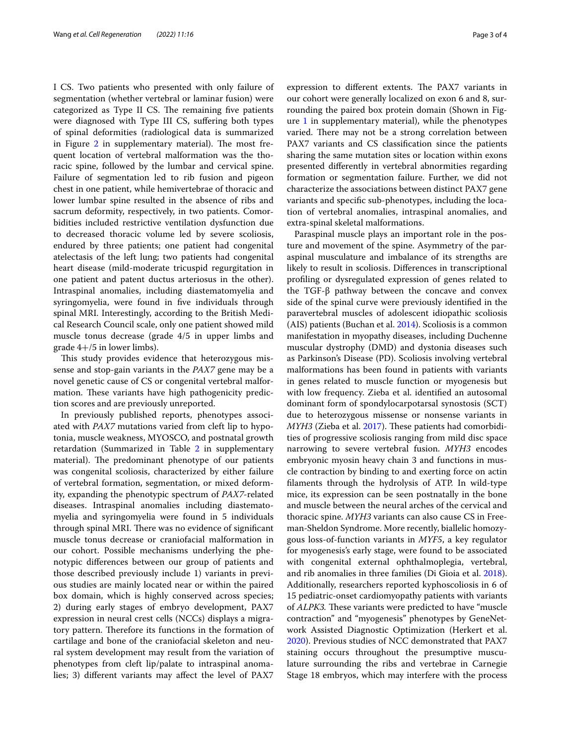I CS. Two patients who presented with only failure of segmentation (whether vertebral or laminar fusion) were categorized as Type II CS. The remaining five patients were diagnosed with Type III CS, sufering both types of spinal deformities (radiological data is summarized in Figure  $2$  in supplementary material). The most frequent location of vertebral malformation was the thoracic spine, followed by the lumbar and cervical spine. Failure of segmentation led to rib fusion and pigeon chest in one patient, while hemivertebrae of thoracic and lower lumbar spine resulted in the absence of ribs and sacrum deformity, respectively, in two patients. Comorbidities included restrictive ventilation dysfunction due to decreased thoracic volume led by severe scoliosis, endured by three patients; one patient had congenital atelectasis of the left lung; two patients had congenital heart disease (mild-moderate tricuspid regurgitation in one patient and patent ductus arteriosus in the other). Intraspinal anomalies, including diastematomyelia and syringomyelia, were found in fve individuals through spinal MRI. Interestingly, according to the British Medical Research Council scale, only one patient showed mild muscle tonus decrease (grade 4/5 in upper limbs and grade 4+/5 in lower limbs).

This study provides evidence that heterozygous missense and stop-gain variants in the *PAX7* gene may be a novel genetic cause of CS or congenital vertebral malformation. These variants have high pathogenicity prediction scores and are previously unreported.

In previously published reports, phenotypes associated with *PAX7* mutations varied from cleft lip to hypotonia, muscle weakness, MYOSCO, and postnatal growth retardation (Summarized in Table [2](#page-3-4) in supplementary material). The predominant phenotype of our patients was congenital scoliosis, characterized by either failure of vertebral formation, segmentation, or mixed deformity, expanding the phenotypic spectrum of *PAX7*-related diseases. Intraspinal anomalies including diastematomyelia and syringomyelia were found in 5 individuals through spinal MRI. There was no evidence of significant muscle tonus decrease or craniofacial malformation in our cohort. Possible mechanisms underlying the phenotypic diferences between our group of patients and those described previously include 1) variants in previous studies are mainly located near or within the paired box domain, which is highly conserved across species; 2) during early stages of embryo development, PAX7 expression in neural crest cells (NCCs) displays a migratory pattern. Therefore its functions in the formation of cartilage and bone of the craniofacial skeleton and neural system development may result from the variation of phenotypes from cleft lip/palate to intraspinal anomalies; 3) diferent variants may afect the level of PAX7

expression to different extents. The PAX7 variants in our cohort were generally localized on exon 6 and 8, surrounding the paired box protein domain (Shown in Figure  $1$  in supplementary material), while the phenotypes varied. There may not be a strong correlation between PAX7 variants and CS classifcation since the patients sharing the same mutation sites or location within exons presented diferently in vertebral abnormities regarding formation or segmentation failure. Further, we did not characterize the associations between distinct PAX7 gene variants and specifc sub-phenotypes, including the location of vertebral anomalies, intraspinal anomalies, and extra-spinal skeletal malformations.

Paraspinal muscle plays an important role in the posture and movement of the spine. Asymmetry of the paraspinal musculature and imbalance of its strengths are likely to result in scoliosis. Diferences in transcriptional profling or dysregulated expression of genes related to the TGF-β pathway between the concave and convex side of the spinal curve were previously identifed in the paravertebral muscles of adolescent idiopathic scoliosis (AIS) patients (Buchan et al. [2014](#page-3-5)). Scoliosis is a common manifestation in myopathy diseases, including Duchenne muscular dystrophy (DMD) and dystonia diseases such as Parkinson's Disease (PD). Scoliosis involving vertebral malformations has been found in patients with variants in genes related to muscle function or myogenesis but with low frequency. Zieba et al. identifed an autosomal dominant form of spondylocarpotarsal synostosis (SCT) due to heterozygous missense or nonsense variants in *MYH3* (Zieba et al. [2017](#page-3-6)). These patients had comorbidities of progressive scoliosis ranging from mild disc space narrowing to severe vertebral fusion. *MYH3* encodes embryonic myosin heavy chain 3 and functions in muscle contraction by binding to and exerting force on actin flaments through the hydrolysis of ATP. In wild-type mice, its expression can be seen postnatally in the bone and muscle between the neural arches of the cervical and thoracic spine. *MYH3* variants can also cause CS in Freeman-Sheldon Syndrome. More recently, biallelic homozygous loss-of-function variants in *MYF5*, a key regulator for myogenesis's early stage, were found to be associated with congenital external ophthalmoplegia, vertebral, and rib anomalies in three families (Di Gioia et al. [2018](#page-3-7)). Additionally, researchers reported kyphoscoliosis in 6 of 15 pediatric-onset cardiomyopathy patients with variants of *ALPK3*. These variants were predicted to have "muscle contraction" and "myogenesis" phenotypes by GeneNetwork Assisted Diagnostic Optimization (Herkert et al. [2020](#page-3-8)). Previous studies of NCC demonstrated that PAX7 staining occurs throughout the presumptive musculature surrounding the ribs and vertebrae in Carnegie Stage 18 embryos, which may interfere with the process